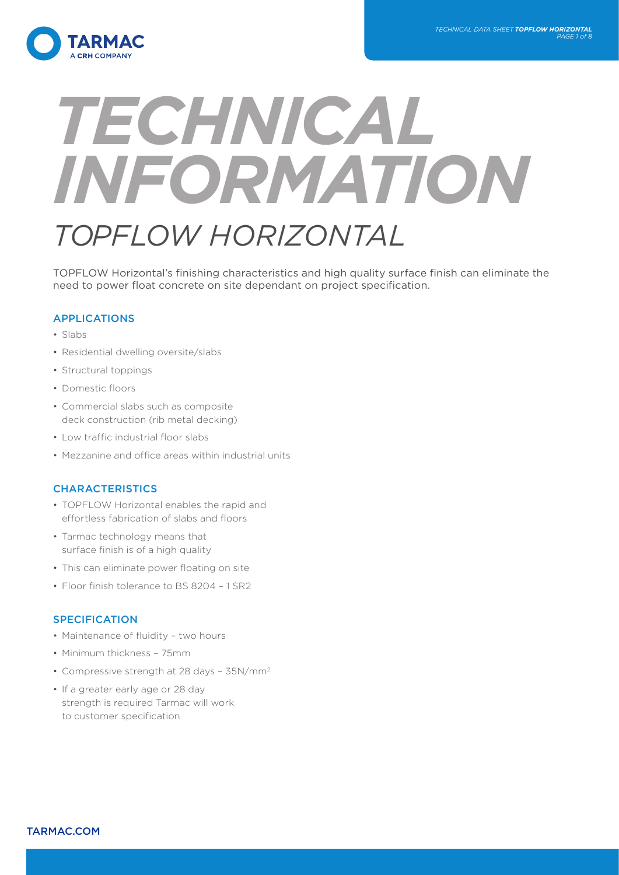

# *TECHNICAL INFORMATION TOPFLOW HORIZONTAL*

TOPFLOW Horizontal's finishing characteristics and high quality surface finish can eliminate the need to power float concrete on site dependant on project specification.

# APPLICATIONS

- Slabs
- Residential dwelling oversite/slabs
- Structural toppings
- Domestic floors
- Commercial slabs such as composite deck construction (rib metal decking)
- Low traffic industrial floor slabs
- Mezzanine and office areas within industrial units

# **CHARACTERISTICS**

- TOPFLOW Horizontal enables the rapid and effortless fabrication of slabs and floors
- Tarmac technology means that surface finish is of a high quality
- This can eliminate power floating on site
- Floor finish tolerance to BS 8204 1 SR2

### **SPECIFICATION**

- Maintenance of fluidity two hours
- Minimum thickness 75mm
- Compressive strength at 28 days 35N/mm2
- If a greater early age or 28 day strength is required Tarmac will work to customer specification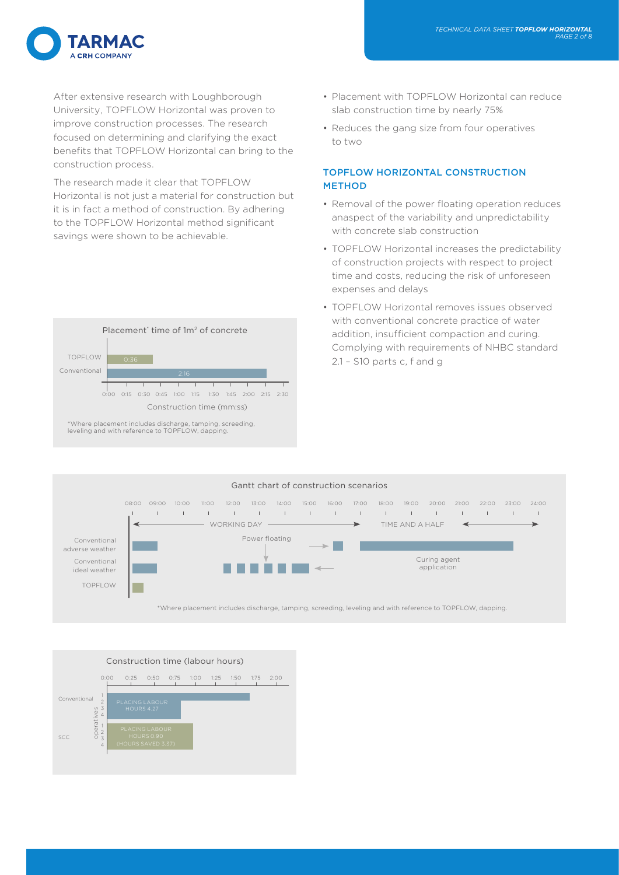

After extensive research with Loughborough University, TOPFLOW Horizontal was proven to improve construction processes. The research focused on determining and clarifying the exact benefits that TOPFLOW Horizontal can bring to the construction process.

The research made it clear that TOPFLOW Horizontal is not just a material for construction but it is in fact a method of construction. By adhering to the TOPFLOW Horizontal method significant savings were shown to be achievable.



- Placement with TOPFLOW Horizontal can reduce slab construction time by nearly 75%
- Reduces the gang size from four operatives to two

### TOPFLOW HORIZONTAL CONSTRUCTION **METHOD**

- Removal of the power floating operation reduces anaspect of the variability and unpredictability with concrete slab construction
- TOPFLOW Horizontal increases the predictability of construction projects with respect to project time and costs, reducing the risk of unforeseen expenses and delays
- TOPFLOW Horizontal removes issues observed with conventional concrete practice of water addition, insufficient compaction and curing. Complying with requirements of NHBC standard 2.1 – S10 parts c, f and g



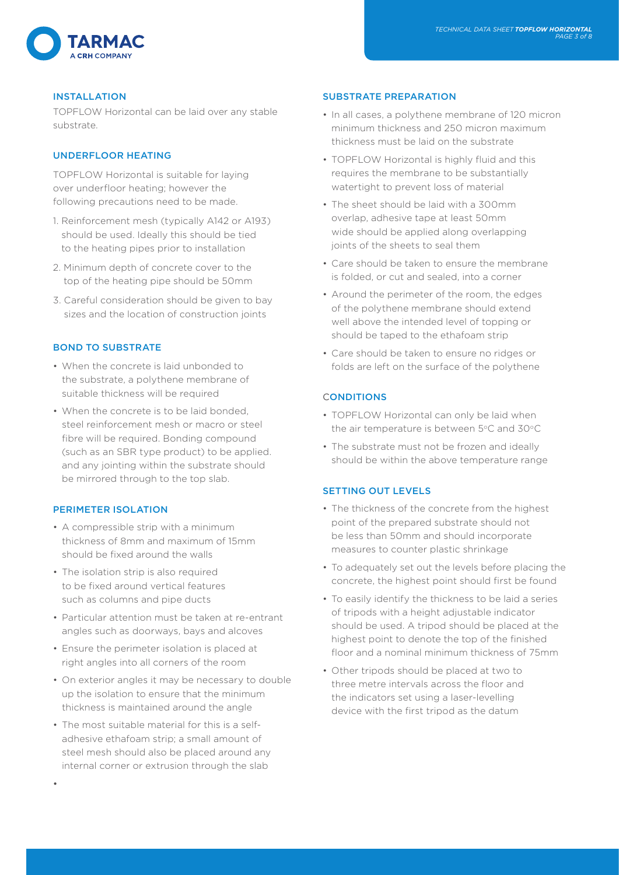

### INSTALLATION

TOPFLOW Horizontal can be laid over any stable substrate.

# UNDERFLOOR HEATING

TOPFLOW Horizontal is suitable for laying over underfloor heating; however the following precautions need to be made.

- 1. Reinforcement mesh (typically A142 or A193) should be used. Ideally this should be tied to the heating pipes prior to installation
- 2. Minimum depth of concrete cover to the top of the heating pipe should be 50mm
- 3. Careful consideration should be given to bay sizes and the location of construction joints

# BOND TO SUBSTRATE

- When the concrete is laid unbonded to the substrate, a polythene membrane of suitable thickness will be required
- When the concrete is to be laid bonded, steel reinforcement mesh or macro or steel fibre will be required. Bonding compound (such as an SBR type product) to be applied. and any jointing within the substrate should be mirrored through to the top slab.

### PERIMETER ISOLATION

- A compressible strip with a minimum thickness of 8mm and maximum of 15mm should be fixed around the walls
- The isolation strip is also required to be fixed around vertical features such as columns and pipe ducts
- Particular attention must be taken at re-entrant angles such as doorways, bays and alcoves
- Ensure the perimeter isolation is placed at right angles into all corners of the room
- On exterior angles it may be necessary to double up the isolation to ensure that the minimum thickness is maintained around the angle
- The most suitable material for this is a selfadhesive ethafoam strip; a small amount of steel mesh should also be placed around any internal corner or extrusion through the slab

### SUBSTRATE PREPARATION

- In all cases, a polythene membrane of 120 micron minimum thickness and 250 micron maximum thickness must be laid on the substrate
- TOPFLOW Horizontal is highly fluid and this requires the membrane to be substantially watertight to prevent loss of material
- The sheet should be laid with a 300mm overlap, adhesive tape at least 50mm wide should be applied along overlapping joints of the sheets to seal them
- Care should be taken to ensure the membrane is folded, or cut and sealed, into a corner
- Around the perimeter of the room, the edges of the polythene membrane should extend well above the intended level of topping or should be taped to the ethafoam strip
- Care should be taken to ensure no ridges or folds are left on the surface of the polythene

# **CONDITIONS**

- TOPFLOW Horizontal can only be laid when the air temperature is between 5°C and 30°C
- The substrate must not be frozen and ideally should be within the above temperature range

### SETTING OUT LEVELS

- The thickness of the concrete from the highest point of the prepared substrate should not be less than 50mm and should incorporate measures to counter plastic shrinkage
- To adequately set out the levels before placing the concrete, the highest point should first be found
- To easily identify the thickness to be laid a series of tripods with a height adjustable indicator should be used. A tripod should be placed at the highest point to denote the top of the finished floor and a nominal minimum thickness of 75mm
- Other tripods should be placed at two to three metre intervals across the floor and the indicators set using a laser-levelling device with the first tripod as the datum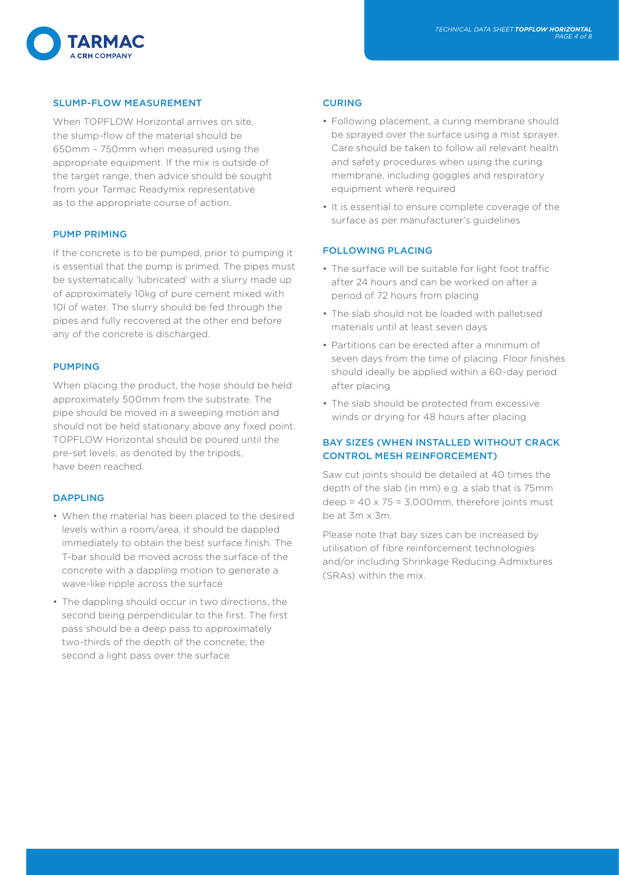

# SLUMP-FLOW MEASUREMENT

When TOPFLOW Horizontal arrives on site, the slump-flow of the material should be 650mm – 750mm when measured using the appropriate equipment. If the mix is outside of the target range, then advice should be sought from your Tarmac Readymix representative as to the appropriate course of action.

### PUMP PRIMING

If the concrete is to be pumped, prior to pumping it is essential that the pump is primed. The pipes must be systematically 'lubricated' with a slurry made up of approximately 10kg of pure cement mixed with 10l of water. The slurry should be fed through the pipes and fully recovered at the other end before any of the concrete is discharged.

### PUMPING

When placing the product, the hose should be held approximately 500mm from the substrate. The pipe should be moved in a sweeping motion and should not be held stationary above any fixed point. TOPFLOW Horizontal should be poured until the pre-set levels, as denoted by the tripods, have been reached.

### DAPPLING

- When the material has been placed to the desired levels within a room/area, it should be dappled immediately to obtain the best surface finish. The T-bar should be moved across the surface of the concrete with a dappling motion to generate a wave-like ripple across the surface
- The dappling should occur in two directions, the second being perpendicular to the first. The first pass should be a deep pass to approximately two-thirds of the depth of the concrete; the second a light pass over the surface

### CURING

- Following placement, a curing membrane should be sprayed over the surface using a mist sprayer. Care should be taken to follow all relevant health and safety procedures when using the curing membrane, including goggles and respiratory equipment where required
- It is essential to ensure complete coverage of the surface as per manufacturer's guidelines

### FOLLOWING PLACING

- The surface will be suitable for light foot traffic after 24 hours and can be worked on after a period of 72 hours from placing
- The slab should not be loaded with palletised materials until at least seven days
- Partitions can be erected after a minimum of seven days from the time of placing. Floor finishes should ideally be applied within a 60-day period after placing
- The slab should be protected from excessive winds or drying for 48 hours after placing

# BAY SIZES (WHEN INSTALLED WITHOUT CRACK CONTROL MESH REINFORCEMENT)

Saw cut joints should be detailed at 40 times the depth of the slab (in mm) e.g. a slab that is 75mm deep =  $40 \times 75 = 3,000$ mm, therefore joints must be at 3m x 3m.

Please note that bay sizes can be increased by utilisation of fibre reinforcement technologies and/or including Shrinkage Reducing Admixtures (SRAs) within the mix.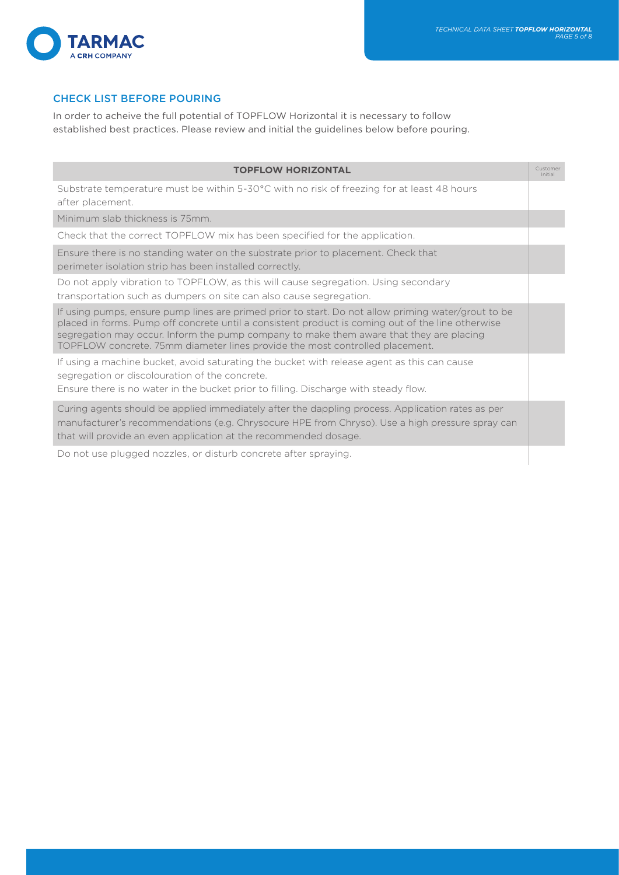

# CHECK LIST BEFORE POURING

In order to acheive the full potential of TOPFLOW Horizontal it is necessary to follow established best practices. Please review and initial the guidelines below before pouring.

| <b>TOPFLOW HORIZONTAL</b>                                                                                                                                                                                                                                                                                                                                                           | Customer<br>Initial |
|-------------------------------------------------------------------------------------------------------------------------------------------------------------------------------------------------------------------------------------------------------------------------------------------------------------------------------------------------------------------------------------|---------------------|
| Substrate temperature must be within 5-30°C with no risk of freezing for at least 48 hours<br>after placement.                                                                                                                                                                                                                                                                      |                     |
| Minimum slab thickness is 75mm.                                                                                                                                                                                                                                                                                                                                                     |                     |
| Check that the correct TOPFLOW mix has been specified for the application.                                                                                                                                                                                                                                                                                                          |                     |
| Ensure there is no standing water on the substrate prior to placement. Check that<br>perimeter isolation strip has been installed correctly.                                                                                                                                                                                                                                        |                     |
| Do not apply vibration to TOPFLOW, as this will cause segregation. Using secondary<br>transportation such as dumpers on site can also cause segregation.                                                                                                                                                                                                                            |                     |
| If using pumps, ensure pump lines are primed prior to start. Do not allow priming water/grout to be<br>placed in forms. Pump off concrete until a consistent product is coming out of the line otherwise<br>segregation may occur. Inform the pump company to make them aware that they are placing<br>TOPFLOW concrete. 75mm diameter lines provide the most controlled placement. |                     |
| If using a machine bucket, avoid saturating the bucket with release agent as this can cause<br>segregation or discolouration of the concrete.<br>Ensure there is no water in the bucket prior to filling. Discharge with steady flow.                                                                                                                                               |                     |
| Curing agents should be applied immediately after the dappling process. Application rates as per<br>manufacturer's recommendations (e.g. Chrysocure HPE from Chryso). Use a high pressure spray can<br>that will provide an even application at the recommended dosage.                                                                                                             |                     |
| Do not use plugged nozzles, or disturb concrete after spraying.                                                                                                                                                                                                                                                                                                                     |                     |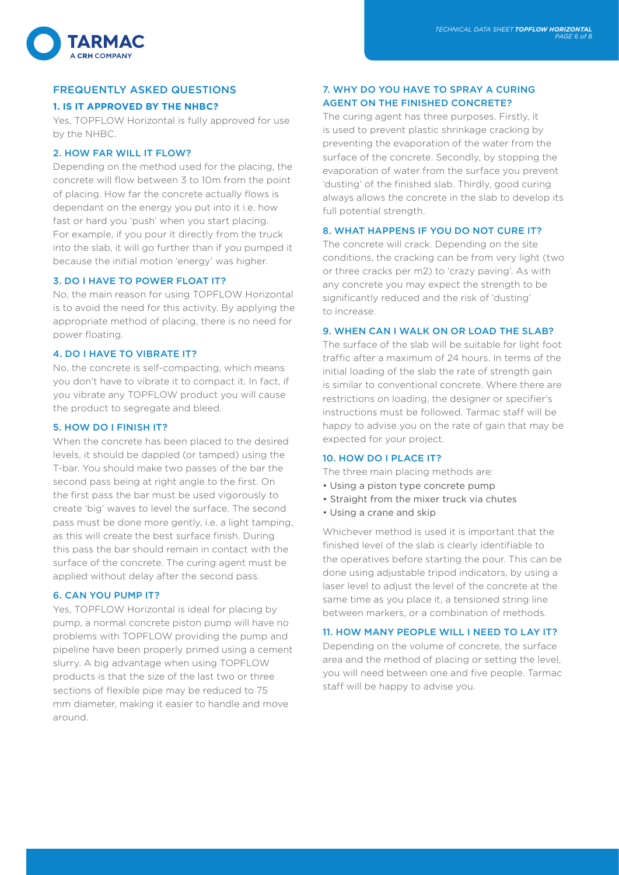

# FREQUENTLY ASKED QUESTIONS

### **1. IS IT APPROVED BY THE NHBC?**

Yes, TOPFLOW Horizontal is fully approved for use by the NHBC.

### 2. HOW FAR WILL IT FLOW?

Depending on the method used for the placing, the concrete will flow between 3 to 10m from the point of placing. How far the concrete actually flows is dependant on the energy you put into it i.e. how fast or hard you 'push' when you start placing. For example, if you pour it directly from the truck into the slab, it will go further than if you pumped it because the initial motion 'energy' was higher.

### 3. DO I HAVE TO POWER FLOAT IT?

No, the main reason for using TOPFLOW Horizontal is to avoid the need for this activity. By applying the appropriate method of placing, there is no need for power floating.

### 4. DO I HAVE TO VIBRATE IT?

No, the concrete is self-compacting, which means you don't have to vibrate it to compact it. In fact, if you vibrate any TOPFLOW product you will cause the product to segregate and bleed.

### 5. HOW DO I FINISH IT?

When the concrete has been placed to the desired levels, it should be dappled (or tamped) using the T-bar. You should make two passes of the bar the second pass being at right angle to the first. On the first pass the bar must be used vigorously to create 'big' waves to level the surface. The second pass must be done more gently, i.e. a light tamping, as this will create the best surface finish. During this pass the bar should remain in contact with the surface of the concrete. The curing agent must be applied without delay after the second pass.

### 6. CAN YOU PUMP IT?

Yes, TOPFLOW Horizontal is ideal for placing by pump, a normal concrete piston pump will have no problems with TOPFLOW providing the pump and pipeline have been properly primed using a cement slurry. A big advantage when using TOPFLOW products is that the size of the last two or three sections of flexible pipe may be reduced to 75 mm diameter, making it easier to handle and move around.

# 7. WHY DO YOU HAVE TO SPRAY A CURING AGENT ON THE FINISHED CONCRETE?

The curing agent has three purposes. Firstly, it is used to prevent plastic shrinkage cracking by preventing the evaporation of the water from the surface of the concrete. Secondly, by stopping the evaporation of water from the surface you prevent 'dusting' of the finished slab. Thirdly, good curing always allows the concrete in the slab to develop its full potential strength.

### 8. WHAT HAPPENS IF YOU DO NOT CURE IT?

The concrete will crack. Depending on the site conditions, the cracking can be from very light (two or three cracks per m2) to 'crazy paving'. As with any concrete you may expect the strength to be significantly reduced and the risk of 'dusting' to increase.

### 9. WHEN CAN I WALK ON OR LOAD THE SLAB?

The surface of the slab will be suitable for light foot traffic after a maximum of 24 hours. In terms of the initial loading of the slab the rate of strength gain is similar to conventional concrete. Where there are restrictions on loading, the designer or specifier's instructions must be followed. Tarmac staff will be happy to advise you on the rate of gain that may be expected for your project.

### 10. HOW DO I PLACE IT?

The three main placing methods are:

- Using a piston type concrete pump
- Straight from the mixer truck via chutes
- Using a crane and skip

Whichever method is used it is important that the finished level of the slab is clearly identifiable to the operatives before starting the pour. This can be done using adjustable tripod indicators, by using a laser level to adjust the level of the concrete at the same time as you place it, a tensioned string line between markers, or a combination of methods.

### 11. HOW MANY PEOPLE WILL I NEED TO LAY IT?

Depending on the volume of concrete, the surface area and the method of placing or setting the level, you will need between one and five people. Tarmac staff will be happy to advise you.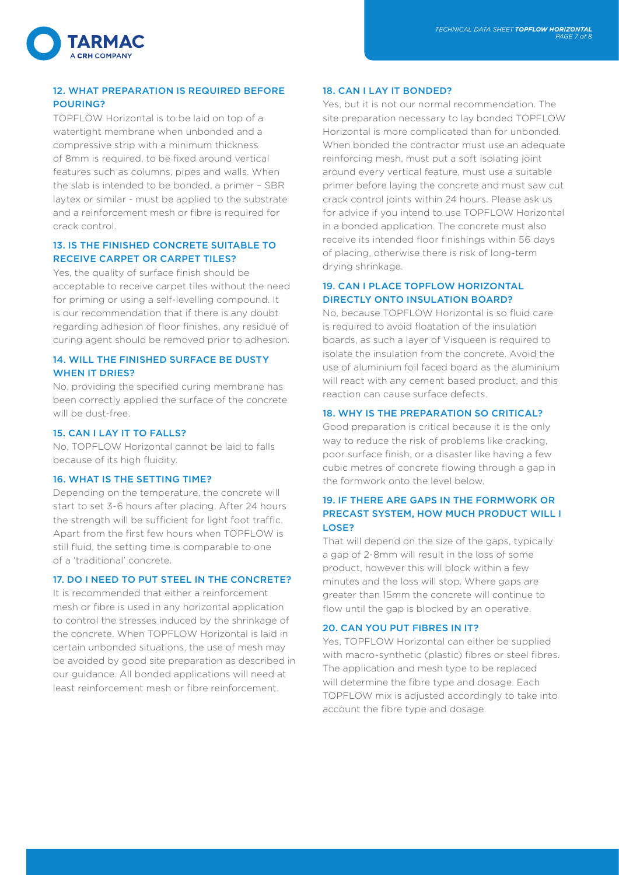

# 12. WHAT PREPARATION IS REQUIRED BEFORE **POUPING?**

TOPFLOW Horizontal is to be laid on top of a watertight membrane when unbonded and a compressive strip with a minimum thickness of 8mm is required, to be fixed around vertical features such as columns, pipes and walls. When the slab is intended to be bonded, a primer – SBR laytex or similar - must be applied to the substrate and a reinforcement mesh or fibre is required for crack control.

# 13. IS THE FINISHED CONCRETE SUITABLE TO RECEIVE CARPET OR CARPET TILES?

Yes, the quality of surface finish should be acceptable to receive carpet tiles without the need for priming or using a self-levelling compound. It is our recommendation that if there is any doubt regarding adhesion of floor finishes, any residue of curing agent should be removed prior to adhesion.

### 14. WILL THE FINISHED SURFACE BE DUSTY WHEN IT DRIES?

No, providing the specified curing membrane has been correctly applied the surface of the concrete will be dust-free.

### 15. CAN I LAY IT TO FALLS?

No, TOPFLOW Horizontal cannot be laid to falls because of its high fluidity.

### 16. WHAT IS THE SETTING TIME?

Depending on the temperature, the concrete will start to set 3-6 hours after placing. After 24 hours the strength will be sufficient for light foot traffic. Apart from the first few hours when TOPFLOW is still fluid, the setting time is comparable to one of a 'traditional' concrete.

### 17. DO I NEED TO PUT STEEL IN THE CONCRETE?

It is recommended that either a reinforcement mesh or fibre is used in any horizontal application to control the stresses induced by the shrinkage of the concrete. When TOPFLOW Horizontal is laid in certain unbonded situations, the use of mesh may be avoided by good site preparation as described in our guidance. All bonded applications will need at least reinforcement mesh or fibre reinforcement.

### 18. CAN I LAY IT BONDED?

Yes, but it is not our normal recommendation. The site preparation necessary to lay bonded TOPFLOW Horizontal is more complicated than for unbonded. When bonded the contractor must use an adequate reinforcing mesh, must put a soft isolating joint around every vertical feature, must use a suitable primer before laying the concrete and must saw cut crack control joints within 24 hours. Please ask us for advice if you intend to use TOPFLOW Horizontal in a bonded application. The concrete must also receive its intended floor finishings within 56 days of placing, otherwise there is risk of long-term drying shrinkage.

# 19. CAN I PLACE TOPFLOW HORIZONTAL DIRECTLY ONTO INSULATION BOARD?

No, because TOPFLOW Horizontal is so fluid care is required to avoid floatation of the insulation boards, as such a layer of Visqueen is required to isolate the insulation from the concrete. Avoid the use of aluminium foil faced board as the aluminium will react with any cement based product, and this reaction can cause surface defects.

### 18. WHY IS THE PREPARATION SO CRITICAL?

Good preparation is critical because it is the only way to reduce the risk of problems like cracking, poor surface finish, or a disaster like having a few cubic metres of concrete flowing through a gap in the formwork onto the level below.

### 19. IF THERE ARE GAPS IN THE FORMWORK OR PRECAST SYSTEM, HOW MUCH PRODUCT WILL I LOSE?

That will depend on the size of the gaps, typically a gap of 2-8mm will result in the loss of some product, however this will block within a few minutes and the loss will stop. Where gaps are greater than 15mm the concrete will continue to flow until the gap is blocked by an operative.

### 20. CAN YOU PUT FIBRES IN IT?

Yes, TOPFLOW Horizontal can either be supplied with macro-synthetic (plastic) fibres or steel fibres. The application and mesh type to be replaced will determine the fibre type and dosage. Each TOPFLOW mix is adjusted accordingly to take into account the fibre type and dosage.